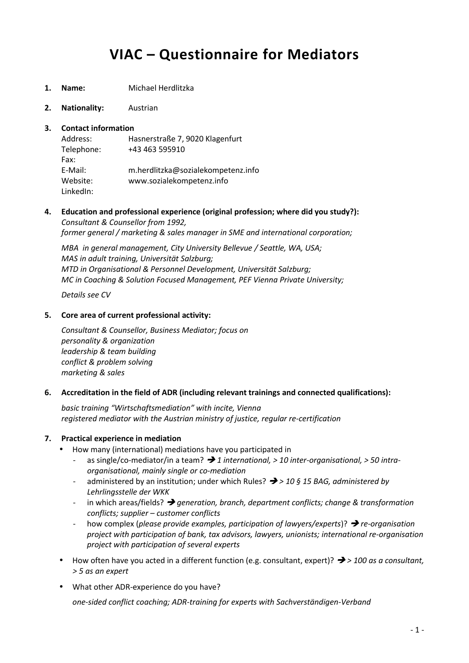# **VIAC – Questionnaire for Mediators**

- **1. Name:** Michael Herdlitzka
- **2. Nationality:** Austrian
- **3. Contact information**

Address: Hasnerstraße 7, 9020 Klagenfurt Telephone: +43 463 595910 Fax: E-Mail: m.herdlitzka@sozialekompetenz.info Website: www.sozialekompetenz.info LinkedIn:

**4. Education and professional experience (original profession; where did you study?):** *Consultant & Counsellor from 1992, former general / marketing & sales manager in SME and international corporation;*

*MBA in general management, City University Bellevue / Seattle, WA, USA; MAS in adult training, Universität Salzburg; MTD in Organisational & Personnel Development, Universität Salzburg; MC in Coaching & Solution Focused Management, PEF Vienna Private University;*

*Details see CV*

# **5. Core area of current professional activity:**

*Consultant & Counsellor, Business Mediator; focus on personality & organization leadership & team building conflict & problem solving marketing & sales*

## **6. Accreditation in the field of ADR (including relevant trainings and connected qualifications):**

*basic training "Wirtschaftsmediation" with incite, Vienna registered mediator with the Austrian ministry of justice, regular re-certification*

# **7. Practical experience in mediation**

- How many (international) mediations have you participated in
	- as single/co-mediator/in a team? *1 international, > 10 inter-organisational, > 50 intra organisational, mainly single or co-mediation*
	- administered by an institution; under which Rules? *> 10 § 15 BAG, administered by Lehrlingsstelle der WKK*
	- in which areas/fields? *generation, branch, department conflicts; change & transformation conflicts; supplier – customer conflicts*
	- how complex (*please provide examples, participation of lawyers/experts*)? *re-organisation project with participation of bank, tax advisors, lawyers, unionists; international re-organisation project with participation of several experts*
- How often have you acted in a different function (e.g. consultant, expert)? *> 100 as a consultant, > 5 as an expert*
- What other ADR-experience do you have?

*one-sided conflict coaching; ADR-training for experts with Sachverständigen-Verband*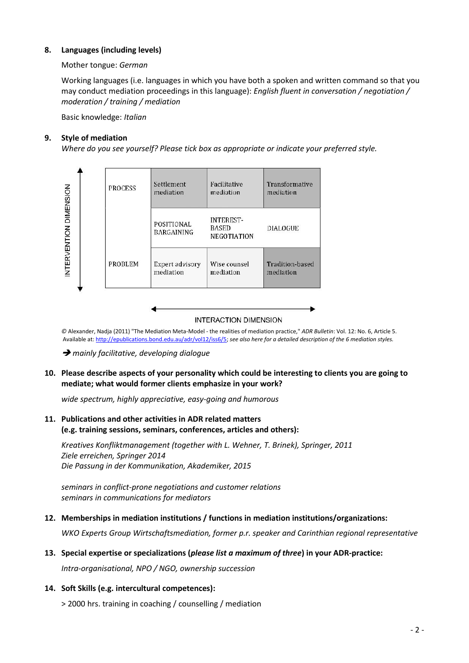# **8. Languages (including levels)**

# Mother tongue: *German*

Working languages (i.e. languages in which you have both a spoken and written command so that you may conduct mediation proceedings in this language): *English fluent in conversation / negotiation / moderation / training / mediation*

Basic knowledge: *Italian*

## **9. Style of mediation**

*Where do you see yourself? Please tick box as appropriate or indicate your preferred style.*



#### **INTERACTION DIMENSION**

*©* Alexander, Nadja (2011) "The Mediation Meta-Model - the realities of mediation practice," *ADR Bulletin*: Vol. 12: No. 6, Article 5. Available at: http://epublications.bond.edu.au/adr/vol12/iss6/5; *see also here for a detailed description of the 6 mediation styles.*

*mainly facilitative, developing dialogue*

# **10. Please describe aspects of your personality which could be interesting to clients you are going to mediate; what would former clients emphasize in your work?**

*wide spectrum, highly appreciative, easy-going and humorous*

# **11. Publications and other activities in ADR related matters (e.g. training sessions, seminars, conferences, articles and others):**

*Kreatives Konfliktmanagement (together with L. Wehner, T. Brinek), Springer, 2011 Ziele erreichen, Springer 2014 Die Passung in der Kommunikation, Akademiker, 2015*

*seminars in conflict-prone negotiations and customer relations seminars in communications for mediators*

## **12. Memberships in mediation institutions / functions in mediation institutions/organizations:**

*WKO Experts Group Wirtschaftsmediation, former p.r. speaker and Carinthian regional representative*

## **13. Special expertise or specializations (***please list a maximum of three***) in your ADR-practice:**

*Intra-organisational, NPO / NGO, ownership succession*

## **14. Soft Skills (e.g. intercultural competences):**

> 2000 hrs. training in coaching / counselling / mediation